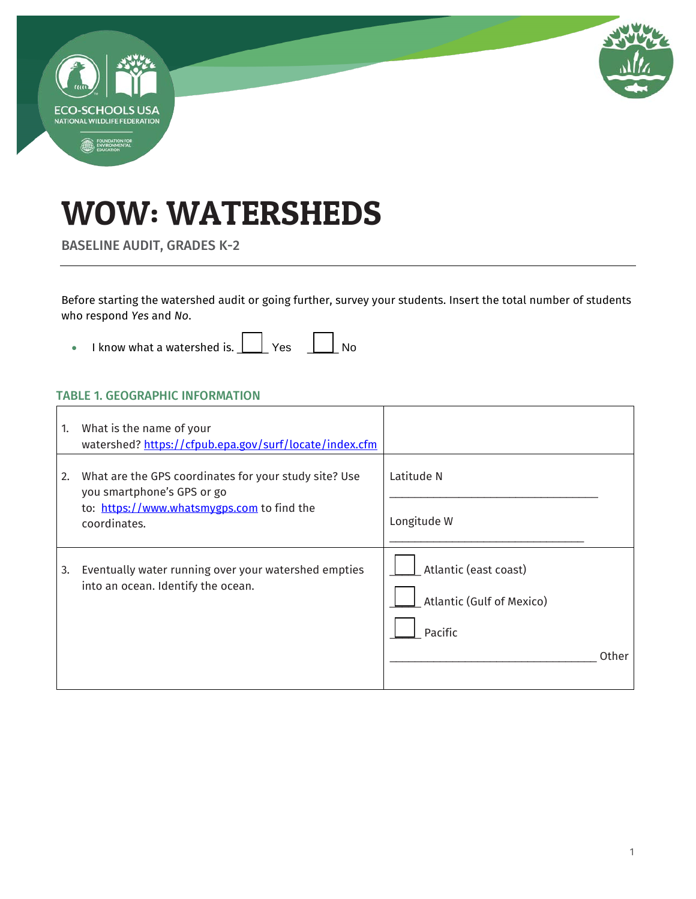

# WOW: WATERSHEDS

BASELINE AUDIT, GRADES K-2

Before starting the watershed audit or going further, survey your students. Insert the total number of students who respond *Yes* and *No*.

• I know what a watershed is.  $\boxed{\phantom{a}}$  Yes  $\phantom{a}$  No

#### TABLE 1. GEOGRAPHIC INFORMATION

| 1. | What is the name of your<br>watershed? https://cfpub.epa.gov/surf/locate/index.cfm                                                                |                                                                        |
|----|---------------------------------------------------------------------------------------------------------------------------------------------------|------------------------------------------------------------------------|
| 2. | What are the GPS coordinates for your study site? Use<br>you smartphone's GPS or go<br>to: https://www.whatsmygps.com to find the<br>coordinates. | Latitude N<br>Longitude W                                              |
| 3. | Eventually water running over your watershed empties<br>into an ocean. Identify the ocean.                                                        | Atlantic (east coast)<br>Atlantic (Gulf of Mexico)<br>Pacific<br>Other |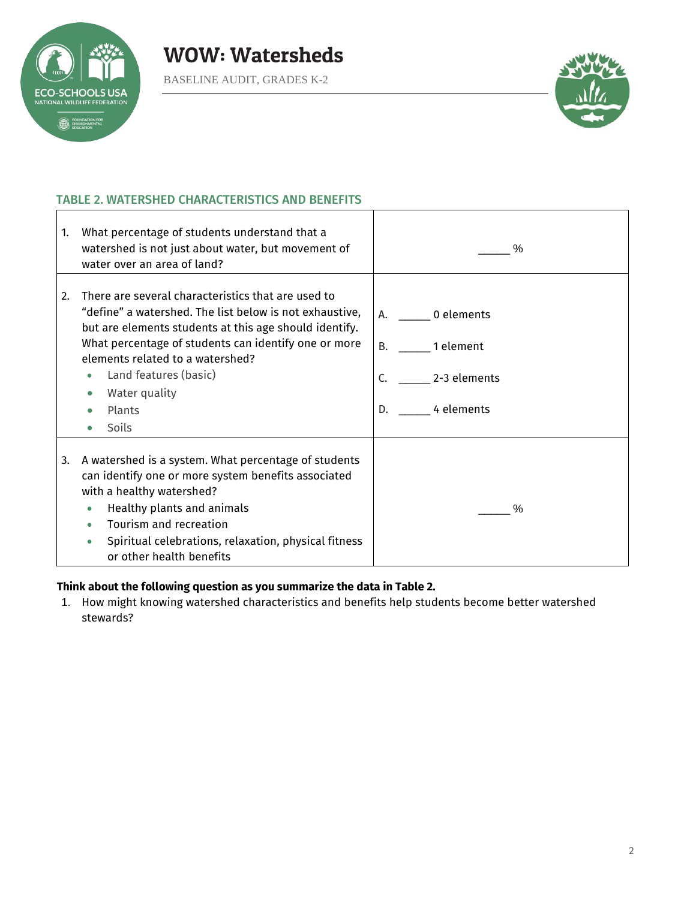



#### TABLE 2. WATERSHED CHARACTERISTICS AND BENEFITS

| $\mathbf{1}$ | What percentage of students understand that a<br>watershed is not just about water, but movement of<br>water over an area of land?                                                                                                                                                                                               | $\%$                                                                          |
|--------------|----------------------------------------------------------------------------------------------------------------------------------------------------------------------------------------------------------------------------------------------------------------------------------------------------------------------------------|-------------------------------------------------------------------------------|
| 2.           | There are several characteristics that are used to<br>"define" a watershed. The list below is not exhaustive,<br>but are elements students at this age should identify.<br>What percentage of students can identify one or more<br>elements related to a watershed?<br>Land features (basic)<br>Water quality<br>Plants<br>Soils | 0 elements<br>А.<br>B.<br>1 element<br>C.<br>2-3 elements<br>4 elements<br>D. |
| 3.           | A watershed is a system. What percentage of students<br>can identify one or more system benefits associated<br>with a healthy watershed?<br>Healthy plants and animals<br>Tourism and recreation<br>Spiritual celebrations, relaxation, physical fitness<br>or other health benefits                                             | $\%$                                                                          |

#### **Think about the following question as you summarize the data in Table 2.**

1. How might knowing watershed characteristics and benefits help students become better watershed stewards?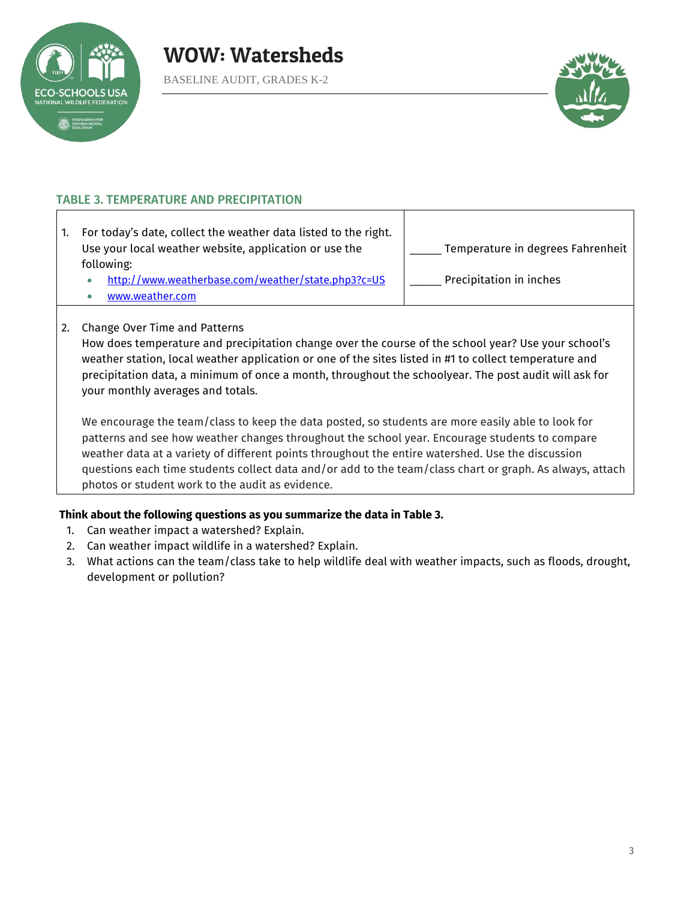



#### TABLE 3. TEMPERATURE AND PRECIPITATION

| For today's date, collect the weather data listed to the right.<br>Use your local weather website, application or use the<br>following: | Temperature in degrees Fahrenheit |  |
|-----------------------------------------------------------------------------------------------------------------------------------------|-----------------------------------|--|
| . http://www.weatherbase.com/weather/state.php3?c=US                                                                                    | Precipitation in inches           |  |
| www.weather.com                                                                                                                         |                                   |  |

#### 2. Change Over Time and Patterns

How does temperature and precipitation change over the course of the school year? Use your school's weather station, local weather application or one of the sites listed in #1 to collect temperature and precipitation data, a minimum of once a month, throughout the schoolyear. The post audit will ask for your monthly averages and totals.

We encourage the team/class to keep the data posted, so students are more easily able to look for patterns and see how weather changes throughout the school year. Encourage students to compare weather data at a variety of different points throughout the entire watershed. Use the discussion questions each time students collect data and/or add to the team/class chart or graph. As always, attach photos or student work to the audit as evidence.

#### **Think about the following questions as you summarize the data in Table 3.**

- 1. Can weather impact a watershed? Explain.
- 2. Can weather impact wildlife in a watershed? Explain.
- 3. What actions can the team/class take to help wildlife deal with weather impacts, such as floods, drought, development or pollution?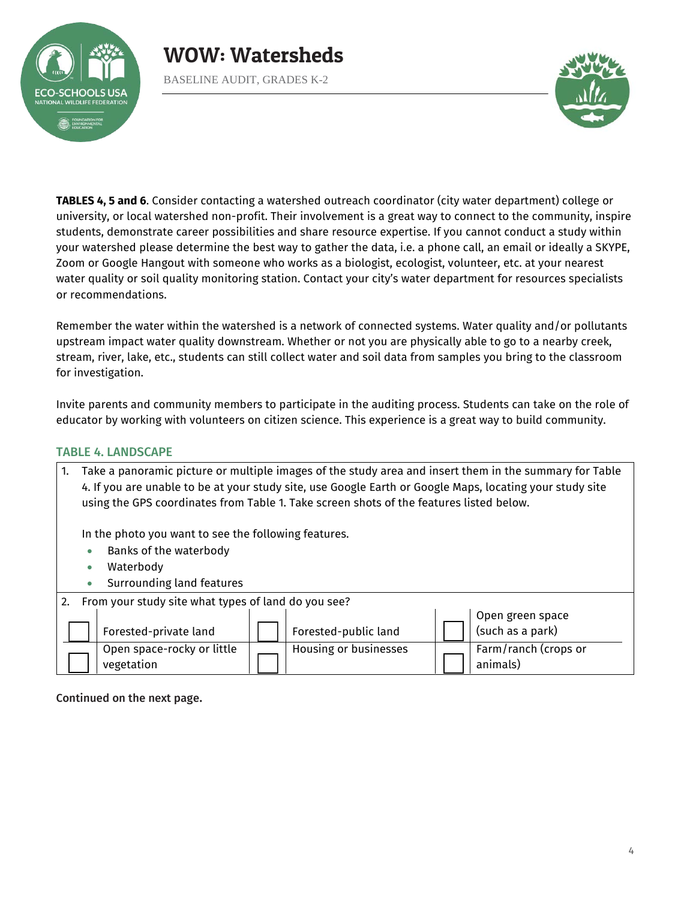

BASELINE AUDIT, GRADES K-2



**TABLES 4, 5 and 6**. Consider contacting a watershed outreach coordinator (city water department) college or university, or local watershed non-profit. Their involvement is a great way to connect to the community, inspire students, demonstrate career possibilities and share resource expertise. If you cannot conduct a study within your watershed please determine the best way to gather the data, i.e. a phone call, an email or ideally a SKYPE, Zoom or Google Hangout with someone who works as a biologist, ecologist, volunteer, etc. at your nearest water quality or soil quality monitoring station. Contact your city's water department for resources specialists or recommendations.

Remember the water within the watershed is a network of connected systems. Water quality and/or pollutants upstream impact water quality downstream. Whether or not you are physically able to go to a nearby creek, stream, river, lake, etc., students can still collect water and soil data from samples you bring to the classroom for investigation.

Invite parents and community members to participate in the auditing process. Students can take on the role of educator by working with volunteers on citizen science. This experience is a great way to build community.

#### TABLE 4. LANDSCAPE

|                                                        | Take a panoramic picture or multiple images of the study area and insert them in the summary for Table<br>4. If you are unable to be at your study site, use Google Earth or Google Maps, locating your study site<br>using the GPS coordinates from Table 1. Take screen shots of the features listed below. |                                                              |  |
|--------------------------------------------------------|---------------------------------------------------------------------------------------------------------------------------------------------------------------------------------------------------------------------------------------------------------------------------------------------------------------|--------------------------------------------------------------|--|
|                                                        | In the photo you want to see the following features.<br>Banks of the waterbody<br>$\bullet$<br>Waterbody<br>$\bullet$<br>Surrounding land features<br>$\bullet$                                                                                                                                               |                                                              |  |
| 2. From your study site what types of land do you see? |                                                                                                                                                                                                                                                                                                               |                                                              |  |
|                                                        | Forested-private land                                                                                                                                                                                                                                                                                         | Open green space<br>(such as a park)<br>Forested-public land |  |
|                                                        | Open space-rocky or little<br>vegetation                                                                                                                                                                                                                                                                      | Housing or businesses<br>Farm/ranch (crops or<br>animals)    |  |

Continued on the next page.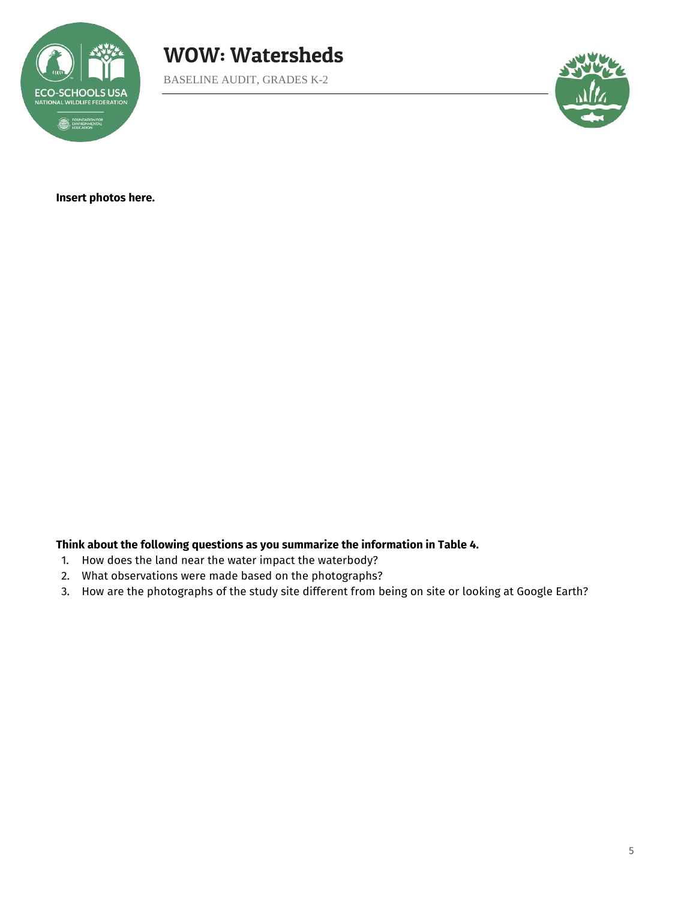





**Insert photos here.**

**Think about the following questions as you summarize the information in Table 4.** 

- 1. How does the land near the water impact the waterbody?
- 2. What observations were made based on the photographs?
- 3. How are the photographs of the study site different from being on site or looking at Google Earth?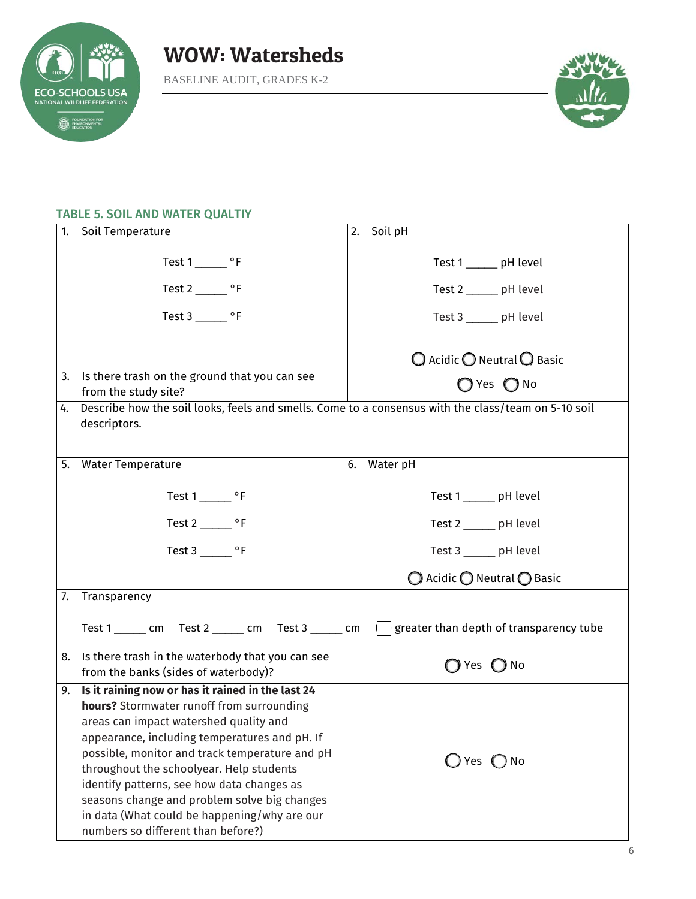



#### TABLE 5. SOIL AND WATER QUALTIY

| 1. | Soil Temperature                                                                                    | Soil pH<br>2.                                         |
|----|-----------------------------------------------------------------------------------------------------|-------------------------------------------------------|
|    |                                                                                                     |                                                       |
|    |                                                                                                     | Test 1 _______ pH level                               |
|    | Test $2 \_\_\_$ °F                                                                                  | Test 2 ______ pH level                                |
|    | Test $3 \_\_\_\$ °F                                                                                 | Test 3 _____ pH level                                 |
|    |                                                                                                     |                                                       |
|    |                                                                                                     | $\bigcirc$ Acidic $\bigcirc$ Neutral $\bigcirc$ Basic |
| 3. | Is there trash on the ground that you can see<br>from the study site?                               | $\bigcap$ Yes $\bigcap$ No                            |
| 4. | Describe how the soil looks, feels and smells. Come to a consensus with the class/team on 5-10 soil |                                                       |
|    | descriptors.                                                                                        |                                                       |
|    |                                                                                                     |                                                       |
| 5. | <b>Water Temperature</b>                                                                            | Water pH<br>6.                                        |
|    |                                                                                                     |                                                       |
|    | Test $1 \_\_\_$ °F                                                                                  | Test 1 ______ pH level                                |
|    | Test $2 \_\_\_$ °F                                                                                  | Test 2 ______ pH level                                |
|    | Test $3 \_\_\_\_$ °F                                                                                | Test 3 ______ pH level                                |
|    |                                                                                                     | $\bigcirc$ Acidic $\bigcirc$ Neutral $\bigcirc$ Basic |
|    | 7. Transparency                                                                                     |                                                       |
|    | Test 1 _______ cm Test 2 ______ cm Test 3 ______ cm                                                 | greater than depth of transparency tube               |
|    |                                                                                                     |                                                       |
| 8. | Is there trash in the waterbody that you can see                                                    | ◯ Yes ◯ No                                            |
|    | from the banks (sides of waterbody)?                                                                |                                                       |
| 9. | Is it raining now or has it rained in the last 24                                                   |                                                       |
|    | hours? Stormwater runoff from surrounding<br>areas can impact watershed quality and                 |                                                       |
|    | appearance, including temperatures and pH. If                                                       |                                                       |
|    | possible, monitor and track temperature and pH                                                      |                                                       |
|    | throughout the schoolyear. Help students                                                            | $\bigcirc$ Yes $\bigcirc$ No                          |
|    | identify patterns, see how data changes as                                                          |                                                       |
|    | seasons change and problem solve big changes                                                        |                                                       |
|    | in data (What could be happening/why are our                                                        |                                                       |
|    | numbers so different than before?)                                                                  |                                                       |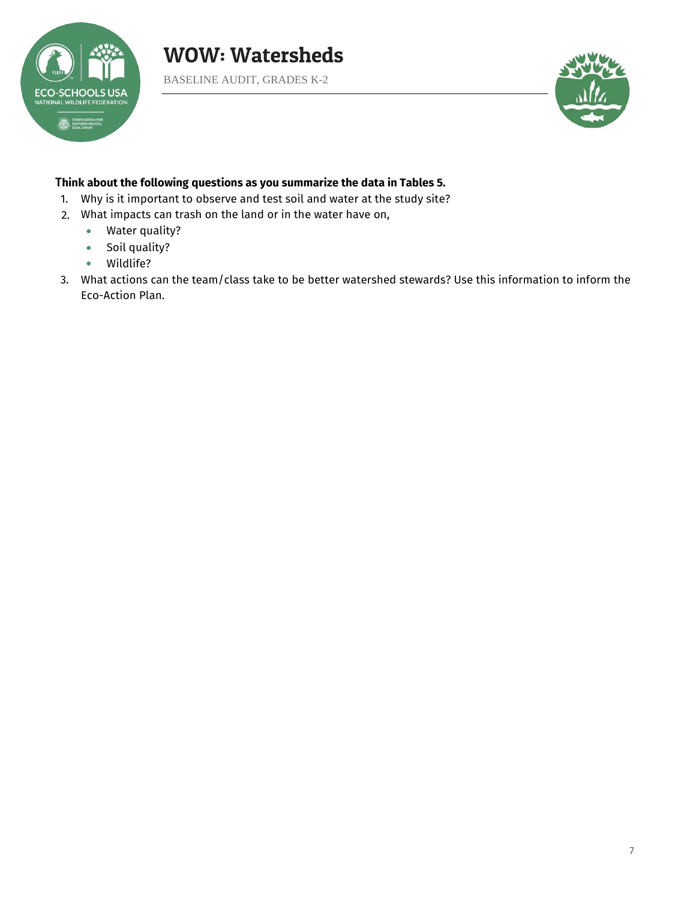

BASELINE AUDIT, GRADES K-2



#### T**hink about the following questions as you summarize the data in Tables 5.**

- 1. Why is it important to observe and test soil and water at the study site?
- 2. What impacts can trash on the land or in the water have on,
	- Water quality?
	- Soil quality?
	- Wildlife?
- 3. What actions can the team/class take to be better watershed stewards? Use this information to inform the Eco-Action Plan.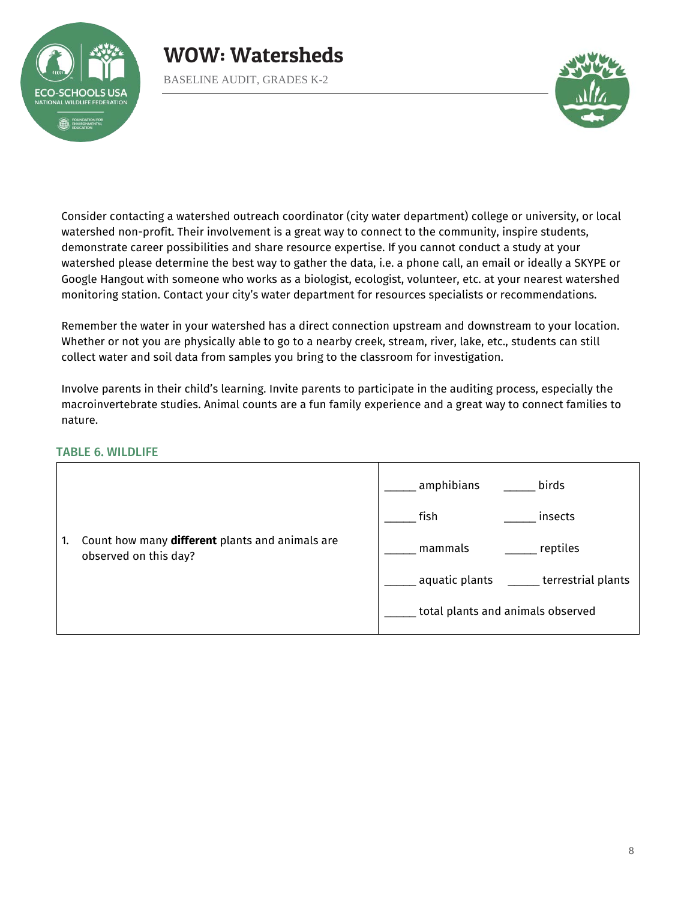

BASELINE AUDIT, GRADES K-2



Consider contacting a watershed outreach coordinator (city water department) college or university, or local watershed non-profit. Their involvement is a great way to connect to the community, inspire students, demonstrate career possibilities and share resource expertise. If you cannot conduct a study at your watershed please determine the best way to gather the data, i.e. a phone call, an email or ideally a SKYPE or Google Hangout with someone who works as a biologist, ecologist, volunteer, etc. at your nearest watershed monitoring station. Contact your city's water department for resources specialists or recommendations.

Remember the water in your watershed has a direct connection upstream and downstream to your location. Whether or not you are physically able to go to a nearby creek, stream, river, lake, etc., students can still collect water and soil data from samples you bring to the classroom for investigation.

Involve parents in their child's learning. Invite parents to participate in the auditing process, especially the macroinvertebrate studies. Animal counts are a fun family experience and a great way to connect families to nature.

#### TABLE 6. WILDLIFE

|    |                                                                          | amphibians<br>birds                  |
|----|--------------------------------------------------------------------------|--------------------------------------|
|    |                                                                          | fish<br>insects                      |
| 1. | Count how many different plants and animals are<br>observed on this day? | reptiles<br>mammals                  |
|    |                                                                          | terrestrial plants<br>aquatic plants |
|    |                                                                          | total plants and animals observed    |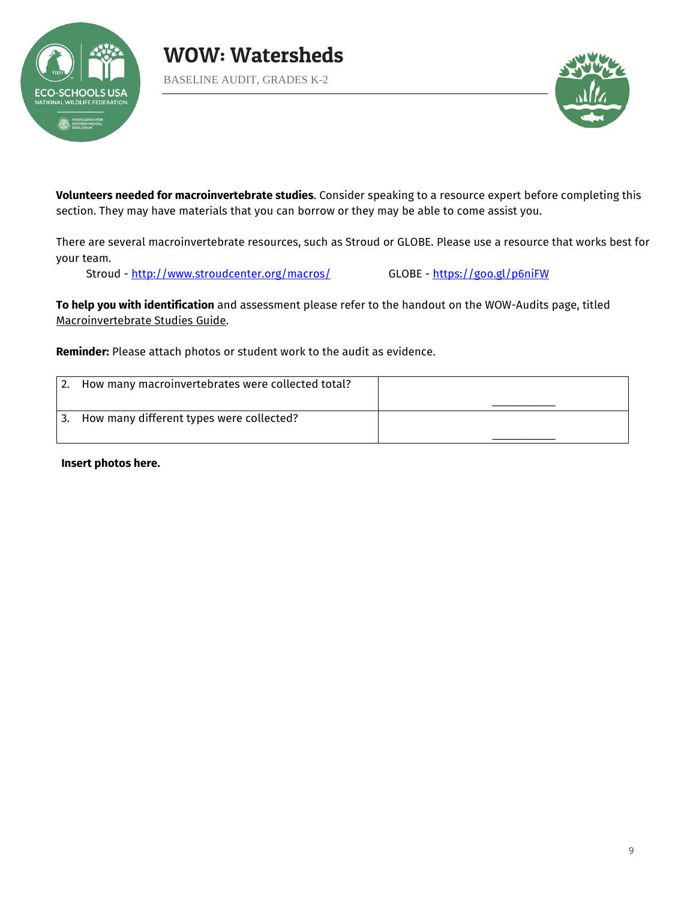



**Volunteers needed for macroinvertebrate studies**. Consider speaking to a resource expert before completing this section. They may have materials that you can borrow or they may be able to come assist you.

There are several macroinvertebrate resources, such as Stroud or GLOBE. Please use a resource that works best for your team.

Stroud -<http://www.stroudcenter.org/macros/>GLOBE -<https://goo.gl/p6niFW>

**To help you with identification** and assessment please refer to the handout on the WOW-Audits page, titled Macroinvertebrate Studies Guide.

**Reminder:** Please attach photos or student work to the audit as evidence.

|    | How many macroinvertebrates were collected total? |  |
|----|---------------------------------------------------|--|
| 3. | How many different types were collected?          |  |

**Insert photos here.**